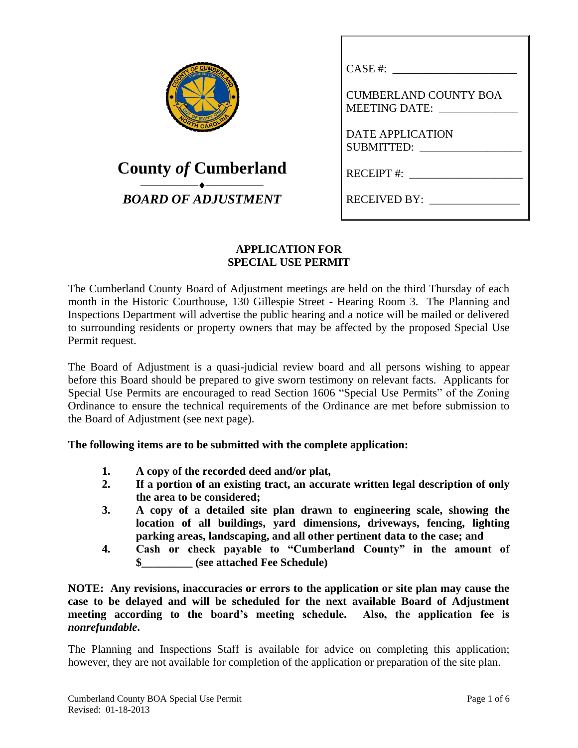| COUNDED 175           | F CUMBERLY |
|-----------------------|------------|
|                       |            |
| <b>OUT OF MANY ON</b> |            |
|                       | <b>CAR</b> |

# **County** *of* **Cumberland** ⎯⎯⎯⎯⎯⎯⎯⎯⎯⎯ *BOARD OF ADJUSTMENT*

| CASE #:                                       |
|-----------------------------------------------|
| <b>CUMBERLAND COUNTY BOA</b><br>MEETING DATE: |
| DATE APPLICATION<br>SUBMITTED:                |
| RECEIPT #:                                    |
| RECEIVED BY:                                  |

### **APPLICATION FOR SPECIAL USE PERMIT**

The Cumberland County Board of Adjustment meetings are held on the third Thursday of each month in the Historic Courthouse, 130 Gillespie Street - Hearing Room 3. The Planning and Inspections Department will advertise the public hearing and a notice will be mailed or delivered to surrounding residents or property owners that may be affected by the proposed Special Use Permit request.

The Board of Adjustment is a quasi-judicial review board and all persons wishing to appear before this Board should be prepared to give sworn testimony on relevant facts. Applicants for Special Use Permits are encouraged to read Section 1606 "Special Use Permits" of the Zoning Ordinance to ensure the technical requirements of the Ordinance are met before submission to the Board of Adjustment (see next page).

**The following items are to be submitted with the complete application:**

- **1. A copy of the recorded deed and/or plat,**
- **2. If a portion of an existing tract, an accurate written legal description of only the area to be considered;**
- **3. A copy of a detailed site plan drawn to engineering scale, showing the location of all buildings, yard dimensions, driveways, fencing, lighting parking areas, landscaping, and all other pertinent data to the case; and**
- **4. Cash or check payable to "Cumberland County" in the amount of \$\_\_\_\_\_\_\_\_\_ (see attached Fee Schedule)**

**NOTE: Any revisions, inaccuracies or errors to the application or site plan may cause the case to be delayed and will be scheduled for the next available Board of Adjustment meeting according to the board's meeting schedule. Also, the application fee is**  *nonrefundable***.**

The Planning and Inspections Staff is available for advice on completing this application; however, they are not available for completion of the application or preparation of the site plan.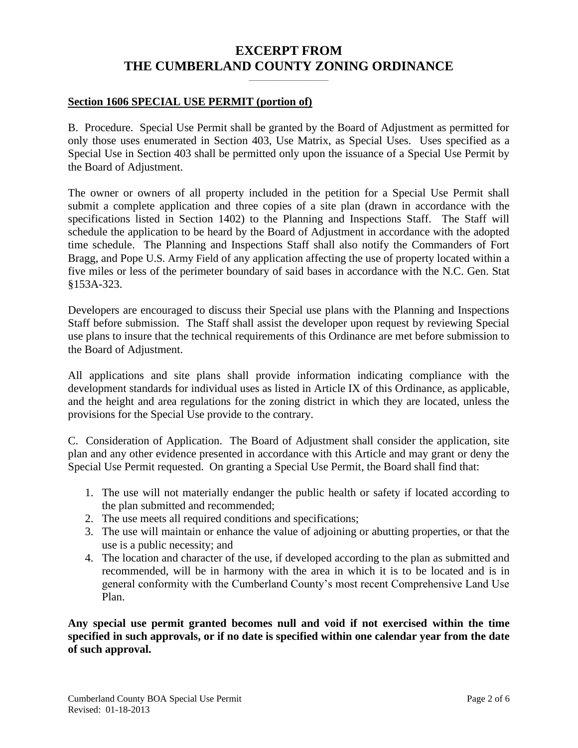## **EXCERPT FROM THE CUMBERLAND COUNTY ZONING ORDINANCE**

**\_\_\_\_\_\_\_\_\_\_\_\_\_\_\_\_\_\_\_**

#### **Section 1606 SPECIAL USE PERMIT (portion of)**

B. Procedure. Special Use Permit shall be granted by the Board of Adjustment as permitted for only those uses enumerated in Section 403, Use Matrix, as Special Uses. Uses specified as a Special Use in Section 403 shall be permitted only upon the issuance of a Special Use Permit by the Board of Adjustment.

The owner or owners of all property included in the petition for a Special Use Permit shall submit a complete application and three copies of a site plan (drawn in accordance with the specifications listed in Section 1402) to the Planning and Inspections Staff. The Staff will schedule the application to be heard by the Board of Adjustment in accordance with the adopted time schedule. The Planning and Inspections Staff shall also notify the Commanders of Fort Bragg, and Pope U.S. Army Field of any application affecting the use of property located within a five miles or less of the perimeter boundary of said bases in accordance with the N.C. Gen. Stat §153A-323.

Developers are encouraged to discuss their Special use plans with the Planning and Inspections Staff before submission. The Staff shall assist the developer upon request by reviewing Special use plans to insure that the technical requirements of this Ordinance are met before submission to the Board of Adjustment.

All applications and site plans shall provide information indicating compliance with the development standards for individual uses as listed in Article IX of this Ordinance, as applicable, and the height and area regulations for the zoning district in which they are located, unless the provisions for the Special Use provide to the contrary.

C. Consideration of Application. The Board of Adjustment shall consider the application, site plan and any other evidence presented in accordance with this Article and may grant or deny the Special Use Permit requested. On granting a Special Use Permit, the Board shall find that:

- 1. The use will not materially endanger the public health or safety if located according to the plan submitted and recommended;
- 2. The use meets all required conditions and specifications;
- 3. The use will maintain or enhance the value of adjoining or abutting properties, or that the use is a public necessity; and
- 4. The location and character of the use, if developed according to the plan as submitted and recommended, will be in harmony with the area in which it is to be located and is in general conformity with the Cumberland County's most recent Comprehensive Land Use Plan.

**Any special use permit granted becomes null and void if not exercised within the time specified in such approvals, or if no date is specified within one calendar year from the date of such approval.**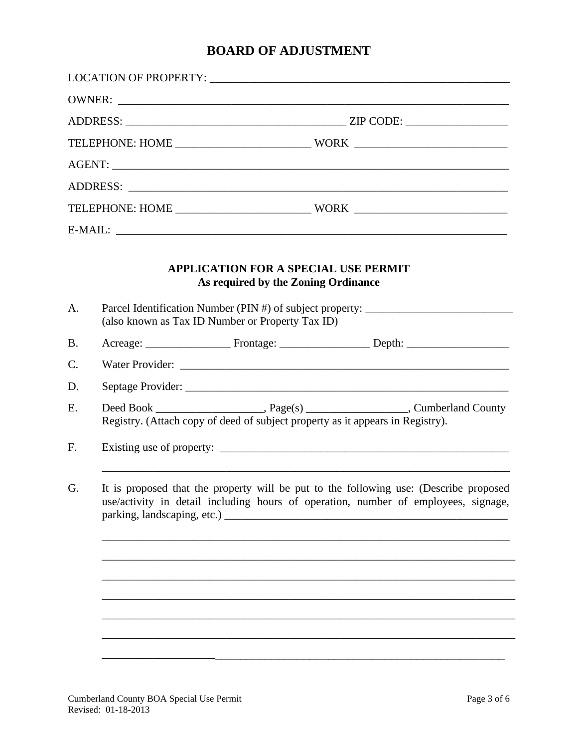# **BOARD OF ADJUSTMENT**

| A.        |                                                                                                                                                                                                            | <b>APPLICATION FOR A SPECIAL USE PERMIT</b><br>As required by the Zoning Ordinance<br>(also known as Tax ID Number or Property Tax ID) | Parcel Identification Number (PIN #) of subject property: _______________________ |  |
|-----------|------------------------------------------------------------------------------------------------------------------------------------------------------------------------------------------------------------|----------------------------------------------------------------------------------------------------------------------------------------|-----------------------------------------------------------------------------------|--|
| <b>B.</b> |                                                                                                                                                                                                            |                                                                                                                                        |                                                                                   |  |
| C.        |                                                                                                                                                                                                            |                                                                                                                                        |                                                                                   |  |
| D.        |                                                                                                                                                                                                            |                                                                                                                                        |                                                                                   |  |
| E.        | Registry. (Attach copy of deed of subject property as it appears in Registry).                                                                                                                             |                                                                                                                                        |                                                                                   |  |
| F.        |                                                                                                                                                                                                            |                                                                                                                                        |                                                                                   |  |
| G.        | It is proposed that the property will be put to the following use: (Describe proposed<br>use/activity in detail including hours of operation, number of employees, signage,<br>parking, landscaping, etc.) |                                                                                                                                        |                                                                                   |  |
|           |                                                                                                                                                                                                            |                                                                                                                                        |                                                                                   |  |
|           |                                                                                                                                                                                                            |                                                                                                                                        |                                                                                   |  |
|           |                                                                                                                                                                                                            |                                                                                                                                        |                                                                                   |  |
|           |                                                                                                                                                                                                            |                                                                                                                                        |                                                                                   |  |
|           |                                                                                                                                                                                                            |                                                                                                                                        |                                                                                   |  |
|           |                                                                                                                                                                                                            |                                                                                                                                        |                                                                                   |  |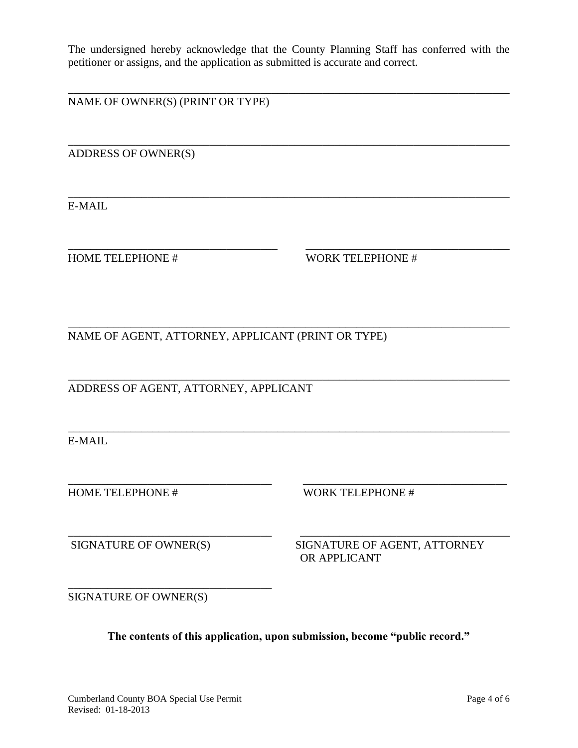The undersigned hereby acknowledge that the County Planning Staff has conferred with the petitioner or assigns, and the application as submitted is accurate and correct.

\_\_\_\_\_\_\_\_\_\_\_\_\_\_\_\_\_\_\_\_\_\_\_\_\_\_\_\_\_\_\_\_\_\_\_\_\_\_\_\_\_\_\_\_\_\_\_\_\_\_\_\_\_\_\_\_\_\_\_\_\_\_\_\_\_\_\_\_\_\_\_\_\_\_\_\_\_\_

\_\_\_\_\_\_\_\_\_\_\_\_\_\_\_\_\_\_\_\_\_\_\_\_\_\_\_\_\_\_\_\_\_\_\_\_\_\_\_\_\_\_\_\_\_\_\_\_\_\_\_\_\_\_\_\_\_\_\_\_\_\_\_\_\_\_\_\_\_\_\_\_\_\_\_\_\_\_

\_\_\_\_\_\_\_\_\_\_\_\_\_\_\_\_\_\_\_\_\_\_\_\_\_\_\_\_\_\_\_\_\_\_\_\_\_\_\_\_\_\_\_\_\_\_\_\_\_\_\_\_\_\_\_\_\_\_\_\_\_\_\_\_\_\_\_\_\_\_\_\_\_\_\_\_\_\_

\_\_\_\_\_\_\_\_\_\_\_\_\_\_\_\_\_\_\_\_\_\_\_\_\_\_\_\_\_\_\_\_\_\_\_\_\_ \_\_\_\_\_\_\_\_\_\_\_\_\_\_\_\_\_\_\_\_\_\_\_\_\_\_\_\_\_\_\_\_\_\_\_\_

\_\_\_\_\_\_\_\_\_\_\_\_\_\_\_\_\_\_\_\_\_\_\_\_\_\_\_\_\_\_\_\_\_\_\_\_\_\_\_\_\_\_\_\_\_\_\_\_\_\_\_\_\_\_\_\_\_\_\_\_\_\_\_\_\_\_\_\_\_\_\_\_\_\_\_\_\_\_

\_\_\_\_\_\_\_\_\_\_\_\_\_\_\_\_\_\_\_\_\_\_\_\_\_\_\_\_\_\_\_\_\_\_\_\_\_\_\_\_\_\_\_\_\_\_\_\_\_\_\_\_\_\_\_\_\_\_\_\_\_\_\_\_\_\_\_\_\_\_\_\_\_\_\_\_\_\_

\_\_\_\_\_\_\_\_\_\_\_\_\_\_\_\_\_\_\_\_\_\_\_\_\_\_\_\_\_\_\_\_\_\_\_\_ \_\_\_\_\_\_\_\_\_\_\_\_\_\_\_\_\_\_\_\_\_\_\_\_\_\_\_\_\_\_\_\_\_\_\_\_

NAME OF OWNER(S) (PRINT OR TYPE)

ADDRESS OF OWNER(S)

E-MAIL

HOME TELEPHONE # WORK TELEPHONE #

\_\_\_\_\_\_\_\_\_\_\_\_\_\_\_\_\_\_\_\_\_\_\_\_\_\_\_\_\_\_\_\_\_\_\_\_\_\_\_\_\_\_\_\_\_\_\_\_\_\_\_\_\_\_\_\_\_\_\_\_\_\_\_\_\_\_\_\_\_\_\_\_\_\_\_\_\_\_ NAME OF AGENT, ATTORNEY, APPLICANT (PRINT OR TYPE)

ADDRESS OF AGENT, ATTORNEY, APPLICANT

E-MAIL

HOME TELEPHONE # WORK TELEPHONE #

\_\_\_\_\_\_\_\_\_\_\_\_\_\_\_\_\_\_\_\_\_\_\_\_\_\_\_\_\_\_\_\_\_\_\_\_ \_\_\_\_\_\_\_\_\_\_\_\_\_\_\_\_\_\_\_\_\_\_\_\_\_\_\_\_\_\_\_\_\_\_\_\_\_ SIGNATURE OF OWNER(S) SIGNATURE OF AGENT, ATTORNEY OR APPLICANT

SIGNATURE OF OWNER(S)

\_\_\_\_\_\_\_\_\_\_\_\_\_\_\_\_\_\_\_\_\_\_\_\_\_\_\_\_\_\_\_\_\_\_\_\_

**The contents of this application, upon submission, become "public record."**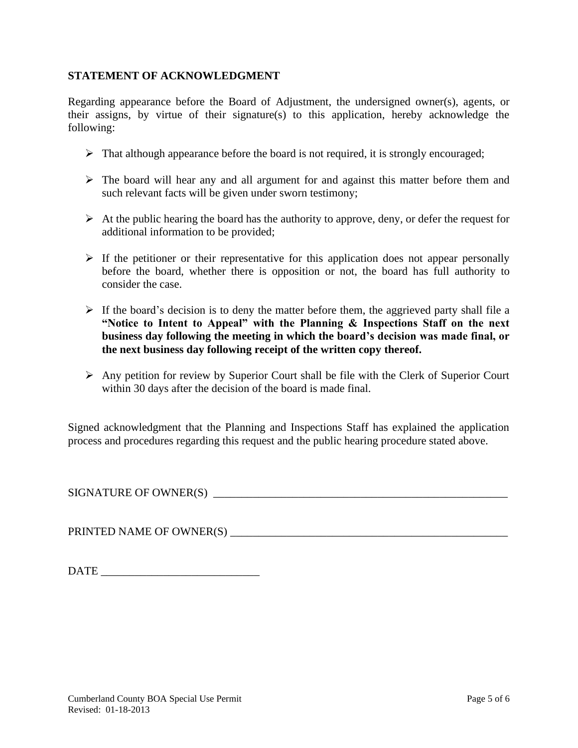### **STATEMENT OF ACKNOWLEDGMENT**

Regarding appearance before the Board of Adjustment, the undersigned owner(s), agents, or their assigns, by virtue of their signature(s) to this application, hereby acknowledge the following:

- $\triangleright$  That although appearance before the board is not required, it is strongly encouraged;
- ➢ The board will hear any and all argument for and against this matter before them and such relevant facts will be given under sworn testimony;
- $\triangleright$  At the public hearing the board has the authority to approve, deny, or defer the request for additional information to be provided;
- $\triangleright$  If the petitioner or their representative for this application does not appear personally before the board, whether there is opposition or not, the board has full authority to consider the case.
- $\triangleright$  If the board's decision is to deny the matter before them, the aggrieved party shall file a **"Notice to Intent to Appeal" with the Planning & Inspections Staff on the next business day following the meeting in which the board's decision was made final, or the next business day following receipt of the written copy thereof.**
- $\triangleright$  Any petition for review by Superior Court shall be file with the Clerk of Superior Court within 30 days after the decision of the board is made final.

Signed acknowledgment that the Planning and Inspections Staff has explained the application process and procedures regarding this request and the public hearing procedure stated above.

SIGNATURE OF OWNER(S) \_\_\_\_\_\_\_\_\_\_\_\_\_\_\_\_\_\_\_\_\_\_\_\_\_\_\_\_\_\_\_\_\_\_\_\_\_\_\_\_\_\_\_\_\_\_\_\_\_\_\_\_

PRINTED NAME OF OWNER(S) \_\_\_\_\_\_\_\_\_\_\_\_\_\_\_\_\_\_\_\_\_\_\_\_\_\_\_\_\_\_\_\_\_\_\_\_\_\_\_\_\_\_\_\_\_\_\_\_\_